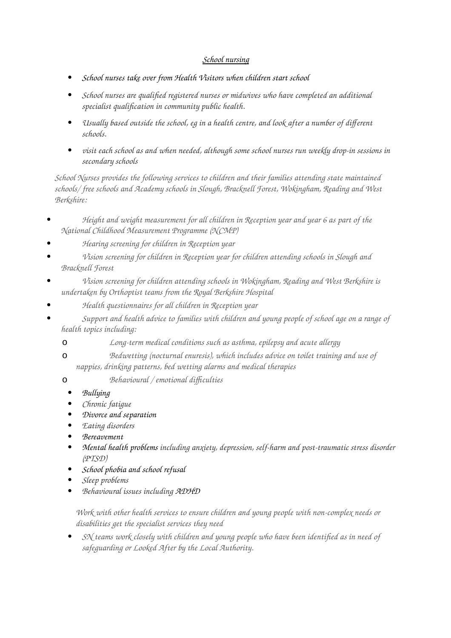## *School nursing*

- *School nurses take over from Health Visitors when children start school*
- *School nurses are qualified registered nurses or midwives who have completed an additional specialist qualification in community public health.*
- *Usually based outside the school, eg in a health centre, and look after a number of different schools.*
- *visit each school as and when needed, although some school nurses run weekly drop-in sessions in secondary schools*

*School Nurses provides the following services to children and their families attending state maintained schools/ free schools and Academy schools in Slough, Bracknell Forest, Wokingham, Reading and West Berkshire:*

- *Height and weight measurement for all children in Reception year and year 6 as part of the National Childhood Measurement Programme (NCMP)*
- *Hearing screening for children in Reception year*
- *Vision screening for children in Reception year for children attending schools in Slough and Bracknell Forest*
- *Vision screening for children attending schools in Wokingham, Reading and West Berkshire is undertaken by Orthoptist teams from the Royal Berkshire Hospital*
- *Health questionnaires for all children in Reception year*
- *Support and health advice to families with children and young people of school age on a range of health topics including:* 
	- o *Long-term medical conditions such as asthma, epilepsy and acute allergy*
	- o *Bedwetting (nocturnal enuresis), which includes advice on toilet training and use of nappies, drinking patterns, bed wetting alarms and medical therapies*
	- o *Behavioural / emotional difficulties*
		- *[Bullying](http://www.theschoolrun.com/school-life/bullying)*
		- *Chronic fatigue*
		- *[Divorce and separation](http://www.theschoolrun.com/help-your-child-cope-divorce-and-separation)*
		- *Eating disorders*
		- *[Bereavement](http://www.theschoolrun.com/how-help-your-child-cope-bereavement)*
		- *[Mental health problems](http://www.theschoolrun.com/how-look-after-your-childs-mental-health) including anxiety, depression, self-harm and post-traumatic stress disorder (PTSD)*
		- *[School phobia and school refusal](http://www.theschoolrun.com/what-do-when-your-child-hates-school)*
		- *Sleep problems*
		- *Behavioural issues including [ADHD](http://www.theschoolrun.com/special-educational-needs/adhd)*

*Work with other health services to ensure children and young people with non-complex needs or disabilities get the specialist services they need*

 *SN teams work closely with children and young people who have been identified as in need of safeguarding or Looked After by the Local Authority.*